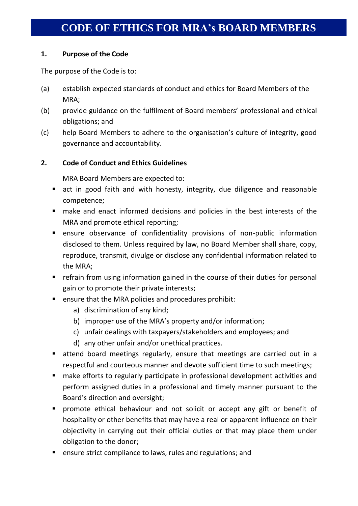# **CODE OF ETHICS FOR MRA's BOARD MEMBERS**

## **1. Purpose of the Code**

The purpose of the Code is to:

- (a) establish expected standards of conduct and ethics for Board Members of the MRA;
- (b) provide guidance on the fulfilment of Board members' professional and ethical obligations; and
- (c) help Board Members to adhere to the organisation's culture of integrity, good governance and accountability.

## **2. Code of Conduct and Ethics Guidelines**

MRA Board Members are expected to:

- act in good faith and with honesty, integrity, due diligence and reasonable competence;
- make and enact informed decisions and policies in the best interests of the MRA and promote ethical reporting;
- ensure observance of confidentiality provisions of non-public information disclosed to them. Unless required by law, no Board Member shall share, copy, reproduce, transmit, divulge or disclose any confidential information related to the MRA;
- **•** refrain from using information gained in the course of their duties for personal gain or to promote their private interests;
- ensure that the MRA policies and procedures prohibit:
	- a) discrimination of any kind;
	- b) improper use of the MRA's property and/or information;
	- c) unfair dealings with taxpayers/stakeholders and employees; and
	- d) any other unfair and/or unethical practices.
- attend board meetings regularly, ensure that meetings are carried out in a respectful and courteous manner and devote sufficient time to such meetings;
- make efforts to regularly participate in professional development activities and perform assigned duties in a professional and timely manner pursuant to the Board's direction and oversight;
- **Peromote ethical behaviour and not solicit or accept any gift or benefit of** hospitality or other benefits that may have a real or apparent influence on their objectivity in carrying out their official duties or that may place them under obligation to the donor;
- **E** ensure strict compliance to laws, rules and regulations; and